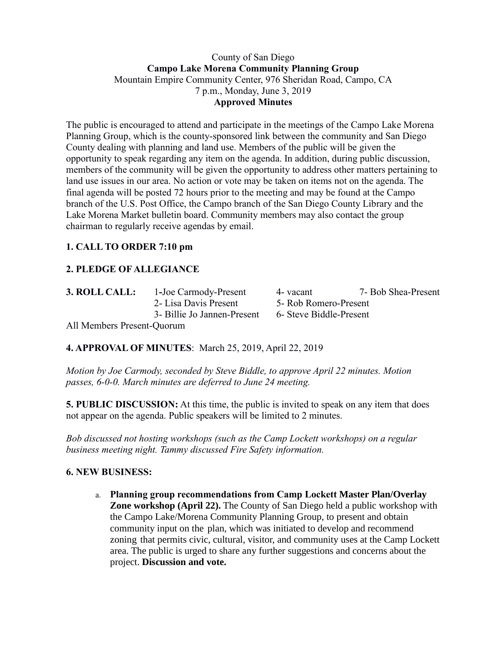### County of San Diego **Campo Lake Morena Community Planning Group** Mountain Empire Community Center, 976 Sheridan Road, Campo, CA 7 p.m., Monday, June 3, 2019 **Approved Minutes**

The public is encouraged to attend and participate in the meetings of the Campo Lake Morena Planning Group, which is the county-sponsored link between the community and San Diego County dealing with planning and land use. Members of the public will be given the opportunity to speak regarding any item on the agenda. In addition, during public discussion, members of the community will be given the opportunity to address other matters pertaining to land use issues in our area. No action or vote may be taken on items not on the agenda. The final agenda will be posted 72 hours prior to the meeting and may be found at the Campo branch of the U.S. Post Office, the Campo branch of the San Diego County Library and the Lake Morena Market bulletin board. Community members may also contact the group chairman to regularly receive agendas by email.

# **1. CALL TO ORDER 7:10 pm**

# **2. PLEDGE OF ALLEGIANCE**

|  |  | 3. ROLL CALL: |  |
|--|--|---------------|--|
|--|--|---------------|--|

-Joe Carmody-Present 4- vacant 7- Bob Shea-Present 2- Lisa Davis Present 5- Rob Romero-Present 3- Billie Jo Jannen-Present 6- Steve Biddle-Present

All Members Present-Quorum

**4. APPROVAL OF MINUTES**: March 25, 2019, April 22, 2019

*Motion by Joe Carmody, seconded by Steve Biddle, to approve April 22 minutes. Motion passes, 6-0-0. March minutes are deferred to June 24 meeting.*

**5. PUBLIC DISCUSSION:** At this time, the public is invited to speak on any item that does not appear on the agenda. Public speakers will be limited to 2 minutes.

*Bob discussed not hosting workshops (such as the Camp Lockett workshops) on a regular business meeting night. Tammy discussed Fire Safety information.*

# **6. NEW BUSINESS:**

a. **Planning group recommendations from Camp Lockett Master Plan/Overlay Zone workshop (April 22).** The County of San Diego held a public workshop with the Campo Lake/Morena Community Planning Group, to present and obtain community input on the plan, which was initiated to develop and recommend zoning that permits civic, cultural, visitor, and community uses at the Camp Lockett area. The public is urged to share any further suggestions and concerns about the project. **Discussion and vote.**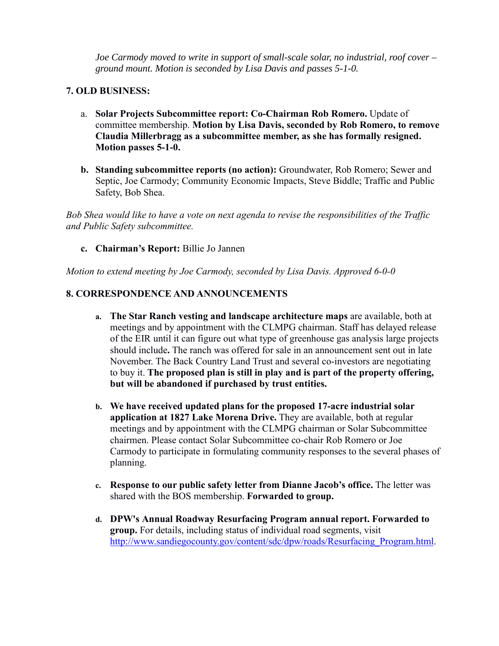*Joe Carmody moved to write in support of small-scale solar, no industrial, roof cover – ground mount. Motion is seconded by Lisa Davis and passes 5-1-0.*

### **7. OLD BUSINESS:**

- a. **Solar Projects Subcommittee report: Co-Chairman Rob Romero.** Update of committee membership. **Motion by Lisa Davis, seconded by Rob Romero, to remove Claudia Millerbragg as a subcommittee member, as she has formally resigned. Motion passes 5-1-0.**
- **b. Standing subcommittee reports (no action):** Groundwater, Rob Romero; Sewer and Septic, Joe Carmody; Community Economic Impacts, Steve Biddle; Traffic and Public Safety, Bob Shea.

*Bob Shea would like to have a vote on next agenda to revise the responsibilities of the Traffic and Public Safety subcommittee.*

**c. Chairman's Report:** Billie Jo Jannen

*Motion to extend meeting by Joe Carmody, seconded by Lisa Davis. Approved 6-0-0*

# **8. CORRESPONDENCE AND ANNOUNCEMENTS**

- **a. The Star Ranch vesting and landscape architecture maps** are available, both at meetings and by appointment with the CLMPG chairman. Staff has delayed release of the EIR until it can figure out what type of greenhouse gas analysis large projects should include**.** The ranch was offered for sale in an announcement sent out in late November. The Back Country Land Trust and several co-investors are negotiating to buy it. **The proposed plan is still in play and is part of the property offering, but will be abandoned if purchased by trust entities.**
- **b. We have received updated plans for the proposed 17-acre industrial solar application at 1827 Lake Morena Drive.** They are available, both at regular meetings and by appointment with the CLMPG chairman or Solar Subcommittee chairmen. Please contact Solar Subcommittee co-chair Rob Romero or Joe Carmody to participate in formulating community responses to the several phases of planning.
- **c. Response to our public safety letter from Dianne Jacob's office.** The letter was shared with the BOS membership. **Forwarded to group.**
- **d. DPW's Annual Roadway Resurfacing Program annual report. Forwarded to group.** For details, including status of individual road segments, visit http://www.sandiegocounty.gov/content/sdc/dpw/roads/Resurfacing\_Program.html.